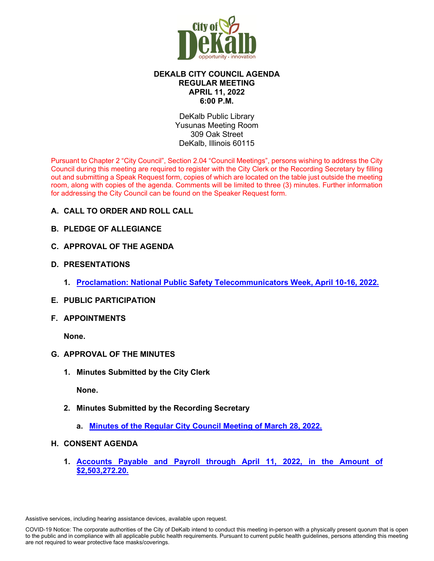

# **DEKALB CITY COUNCIL AGENDA REGULAR MEETING APRIL 11, 2022 6:00 P.M.**

DeKalb Public Library Yusunas Meeting Room 309 Oak Street DeKalb, Illinois 60115

Pursuant to Chapter 2 "City Council", Section 2.04 "Council Meetings", persons wishing to address the City Council during this meeting are required to register with the City Clerk or the Recording Secretary by filling out and submitting a Speak Request form, copies of which are located on the table just outside the meeting room, along with copies of the agenda. Comments will be limited to three (3) minutes. Further information for addressing the City Council can be found on the Speaker Request form.

- **A. CALL TO ORDER AND ROLL CALL**
- **B. PLEDGE OF ALLEGIANCE**
- **C. APPROVAL OF THE AGENDA**
- **D. PRESENTATIONS**
	- **1. [Proclamation: National Public Safety Telecommunicators Week, April 10-16, 2022.](https://www.cityofdekalb.com/DocumentCenter/View/13770/2-Proc---Natl-Public-Safety-Tele-Week-2022)**
- **E. PUBLIC PARTICIPATION**
- **F. APPOINTMENTS**

**None.** 

- **G. APPROVAL OF THE MINUTES**
	- **1. Minutes Submitted by the City Clerk**

 **None.** 

- **2. Minutes Submitted by the Recording Secretary**
	- **a. [Minutes of the Regular City Council Meeting of March 28, 2022.](https://www.cityofdekalb.com/DocumentCenter/View/13771/3-032822-Regular-Minutes)**
- **H. CONSENT AGENDA**
	- **1. [Accounts Payable and Payroll through April 11, 2022,](https://www.cityofdekalb.com/DocumentCenter/View/13777/4-APP-041122) in the Amount of [\\$2,503,272.20.](https://www.cityofdekalb.com/DocumentCenter/View/13777/4-APP-041122)**

Assistive services, including hearing assistance devices, available upon request.

COVID-19 Notice: The corporate authorities of the City of DeKalb intend to conduct this meeting in-person with a physically present quorum that is open to the public and in compliance with all applicable public health requirements. Pursuant to current public health guidelines, persons attending this meeting are not required to wear protective face masks/coverings.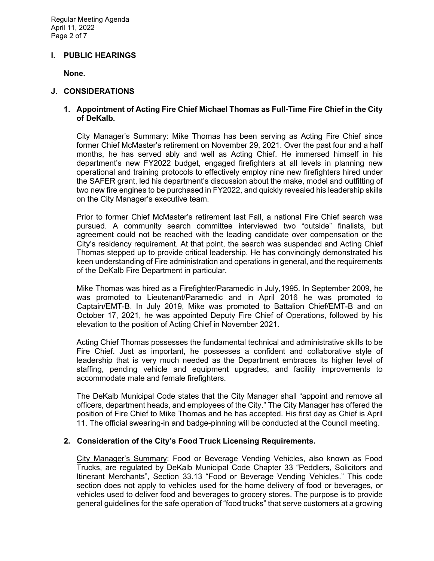#### **I. PUBLIC HEARINGS**

**None.**

#### **J. CONSIDERATIONS**

### **1. Appointment of Acting Fire Chief Michael Thomas as Full-Time Fire Chief in the City of DeKalb.**

City Manager's Summary: Mike Thomas has been serving as Acting Fire Chief since former Chief McMaster's retirement on November 29, 2021. Over the past four and a half months, he has served ably and well as Acting Chief. He immersed himself in his department's new FY2022 budget, engaged firefighters at all levels in planning new operational and training protocols to effectively employ nine new firefighters hired under the SAFER grant, led his department's discussion about the make, model and outfitting of two new fire engines to be purchased in FY2022, and quickly revealed his leadership skills on the City Manager's executive team.

Prior to former Chief McMaster's retirement last Fall, a national Fire Chief search was pursued. A community search committee interviewed two "outside" finalists, but agreement could not be reached with the leading candidate over compensation or the City's residency requirement. At that point, the search was suspended and Acting Chief Thomas stepped up to provide critical leadership. He has convincingly demonstrated his keen understanding of Fire administration and operations in general, and the requirements of the DeKalb Fire Department in particular.

Mike Thomas was hired as a Firefighter/Paramedic in July,1995. In September 2009, he was promoted to Lieutenant/Paramedic and in April 2016 he was promoted to Captain/EMT-B. In July 2019, Mike was promoted to Battalion Chief/EMT-B and on October 17, 2021, he was appointed Deputy Fire Chief of Operations, followed by his elevation to the position of Acting Chief in November 2021.

Acting Chief Thomas possesses the fundamental technical and administrative skills to be Fire Chief. Just as important, he possesses a confident and collaborative style of leadership that is very much needed as the Department embraces its higher level of staffing, pending vehicle and equipment upgrades, and facility improvements to accommodate male and female firefighters.

The DeKalb Municipal Code states that the City Manager shall "appoint and remove all officers, department heads, and employees of the City." The City Manager has offered the position of Fire Chief to Mike Thomas and he has accepted. His first day as Chief is April 11. The official swearing-in and badge-pinning will be conducted at the Council meeting.

## **2. Consideration of the City's Food Truck Licensing Requirements.**

City Manager's Summary: Food or Beverage Vending Vehicles, also known as Food Trucks, are regulated by DeKalb Municipal Code Chapter 33 "Peddlers, Solicitors and Itinerant Merchants", Section 33.13 "Food or Beverage Vending Vehicles." This code section does not apply to vehicles used for the home delivery of food or beverages, or vehicles used to deliver food and beverages to grocery stores. The purpose is to provide general guidelines for the safe operation of "food trucks" that serve customers at a growing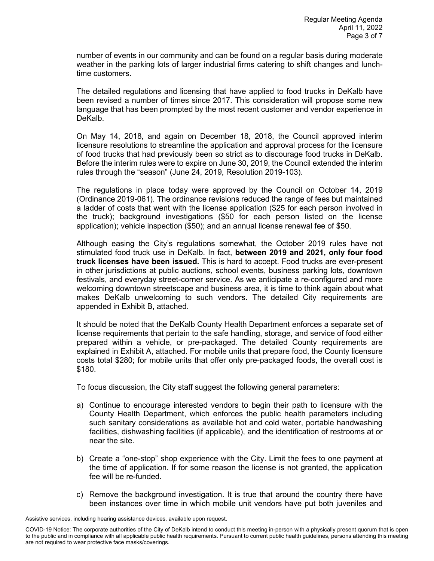number of events in our community and can be found on a regular basis during moderate weather in the parking lots of larger industrial firms catering to shift changes and lunchtime customers.

The detailed regulations and licensing that have applied to food trucks in DeKalb have been revised a number of times since 2017. This consideration will propose some new language that has been prompted by the most recent customer and vendor experience in DeKalb.

On May 14, 2018, and again on December 18, 2018, the Council approved interim licensure resolutions to streamline the application and approval process for the licensure of food trucks that had previously been so strict as to discourage food trucks in DeKalb. Before the interim rules were to expire on June 30, 2019, the Council extended the interim rules through the "season" (June 24, 2019, Resolution 2019-103).

The regulations in place today were approved by the Council on October 14, 2019 (Ordinance 2019-061). The ordinance revisions reduced the range of fees but maintained a ladder of costs that went with the license application (\$25 for each person involved in the truck); background investigations (\$50 for each person listed on the license application); vehicle inspection (\$50); and an annual license renewal fee of \$50.

Although easing the City's regulations somewhat, the October 2019 rules have not stimulated food truck use in DeKalb. In fact, **between 2019 and 2021, only four food truck licenses have been issued.** This is hard to accept. Food trucks are ever-present in other jurisdictions at public auctions, school events, business parking lots, downtown festivals, and everyday street-corner service. As we anticipate a re-configured and more welcoming downtown streetscape and business area, it is time to think again about what makes DeKalb unwelcoming to such vendors. The detailed City requirements are appended in Exhibit B, attached.

It should be noted that the DeKalb County Health Department enforces a separate set of license requirements that pertain to the safe handling, storage, and service of food either prepared within a vehicle, or pre-packaged. The detailed County requirements are explained in Exhibit A, attached. For mobile units that prepare food, the County licensure costs total \$280; for mobile units that offer only pre-packaged foods, the overall cost is \$180.

To focus discussion, the City staff suggest the following general parameters:

- a) Continue to encourage interested vendors to begin their path to licensure with the County Health Department, which enforces the public health parameters including such sanitary considerations as available hot and cold water, portable handwashing facilities, dishwashing facilities (if applicable), and the identification of restrooms at or near the site.
- b) Create a "one-stop" shop experience with the City. Limit the fees to one payment at the time of application. If for some reason the license is not granted, the application fee will be re-funded.
- c) Remove the background investigation. It is true that around the country there have been instances over time in which mobile unit vendors have put both juveniles and

Assistive services, including hearing assistance devices, available upon request.

COVID-19 Notice: The corporate authorities of the City of DeKalb intend to conduct this meeting in-person with a physically present quorum that is open to the public and in compliance with all applicable public health requirements. Pursuant to current public health guidelines, persons attending this meeting are not required to wear protective face masks/coverings.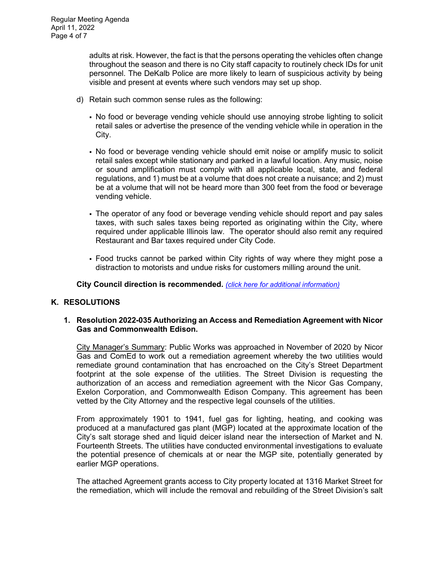adults at risk. However, the fact is that the persons operating the vehicles often change throughout the season and there is no City staff capacity to routinely check IDs for unit personnel. The DeKalb Police are more likely to learn of suspicious activity by being visible and present at events where such vendors may set up shop.

- d) Retain such common sense rules as the following:
	- No food or beverage vending vehicle should use annoying strobe lighting to solicit retail sales or advertise the presence of the vending vehicle while in operation in the City.
	- No food or beverage vending vehicle should emit noise or amplify music to solicit retail sales except while stationary and parked in a lawful location. Any music, noise or sound amplification must comply with all applicable local, state, and federal regulations, and 1) must be at a volume that does not create a nuisance; and 2) must be at a volume that will not be heard more than 300 feet from the food or beverage vending vehicle.
	- The operator of any food or beverage vending vehicle should report and pay sales taxes, with such sales taxes being reported as originating within the City, where required under applicable Illinois law. The operator should also remit any required Restaurant and Bar taxes required under City Code.
	- Food trucks cannot be parked within City rights of way where they might pose a distraction to motorists and undue risks for customers milling around the unit.

**City Council direction is recommended.** *[\(click here for additional information\)](https://www.cityofdekalb.com/DocumentCenter/View/13772/5-Food-Truck-Consideration)*

## **K. RESOLUTIONS**

#### **1. Resolution 2022-035 Authorizing an Access and Remediation Agreement with Nicor Gas and Commonwealth Edison.**

City Manager's Summary: Public Works was approached in November of 2020 by Nicor Gas and ComEd to work out a remediation agreement whereby the two utilities would remediate ground contamination that has encroached on the City's Street Department footprint at the sole expense of the utilities. The Street Division is requesting the authorization of an access and remediation agreement with the Nicor Gas Company, Exelon Corporation, and Commonwealth Edison Company. This agreement has been vetted by the City Attorney and the respective legal counsels of the utilities.

From approximately 1901 to 1941, fuel gas for lighting, heating, and cooking was produced at a manufactured gas plant (MGP) located at the approximate location of the City's salt storage shed and liquid deicer island near the intersection of Market and N. Fourteenth Streets. The utilities have conducted environmental investigations to evaluate the potential presence of chemicals at or near the MGP site, potentially generated by earlier MGP operations.

The attached Agreement grants access to City property located at 1316 Market Street for the remediation, which will include the removal and rebuilding of the Street Division's salt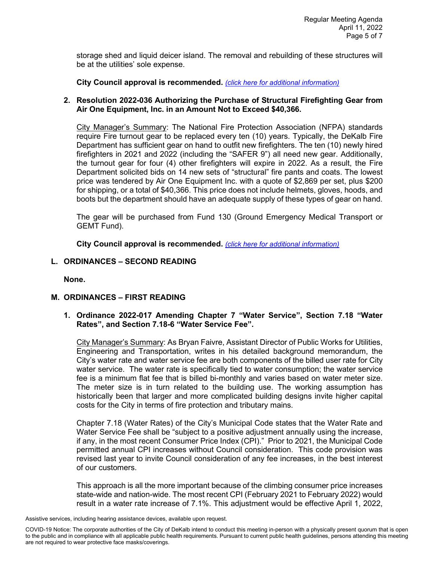storage shed and liquid deicer island. The removal and rebuilding of these structures will be at the utilities' sole expense.

**City Council approval is recommended.** *[\(click here for additional information\)](https://www.cityofdekalb.com/DocumentCenter/View/13773/6-Res-2022-035)*

### **2. Resolution 2022-036 Authorizing the Purchase of Structural Firefighting Gear from Air One Equipment, Inc. in an Amount Not to Exceed \$40,366.**

City Manager's Summary: The National Fire Protection Association (NFPA) standards require Fire turnout gear to be replaced every ten (10) years. Typically, the DeKalb Fire Department has sufficient gear on hand to outfit new firefighters. The ten (10) newly hired firefighters in 2021 and 2022 (including the "SAFER 9") all need new gear. Additionally, the turnout gear for four (4) other firefighters will expire in 2022. As a result, the Fire Department solicited bids on 14 new sets of "structural" fire pants and coats. The lowest price was tendered by Air One Equipment Inc. with a quote of \$2,869 per set, plus \$200 for shipping, or a total of \$40,366. This price does not include helmets, gloves, hoods, and boots but the department should have an adequate supply of these types of gear on hand.

The gear will be purchased from Fund 130 (Ground Emergency Medical Transport or GEMT Fund).

**City Council approval is recommended.** *[\(click here for additional information\)](https://www.cityofdekalb.com/DocumentCenter/View/13774/7-Res-2022-036)*

## **L. ORDINANCES – SECOND READING**

**None.**

## **M. ORDINANCES – FIRST READING**

**1. Ordinance 2022-017 Amending Chapter 7 "Water Service", Section 7.18 "Water Rates", and Section 7.18-6 "Water Service Fee".** 

City Manager's Summary: As Bryan Faivre, Assistant Director of Public Works for Utilities, Engineering and Transportation, writes in his detailed background memorandum, the City's water rate and water service fee are both components of the billed user rate for City water service. The water rate is specifically tied to water consumption; the water service fee is a minimum flat fee that is billed bi-monthly and varies based on water meter size. The meter size is in turn related to the building use. The working assumption has historically been that larger and more complicated building designs invite higher capital costs for the City in terms of fire protection and tributary mains.

Chapter 7.18 (Water Rates) of the City's Municipal Code states that the Water Rate and Water Service Fee shall be "subject to a positive adjustment annually using the increase, if any, in the most recent Consumer Price Index (CPI)." Prior to 2021, the Municipal Code permitted annual CPI increases without Council consideration. This code provision was revised last year to invite Council consideration of any fee increases, in the best interest of our customers.

This approach is all the more important because of the climbing consumer price increases state-wide and nation-wide. The most recent CPI (February 2021 to February 2022) would result in a water rate increase of 7.1%. This adjustment would be effective April 1, 2022,

Assistive services, including hearing assistance devices, available upon request.

COVID-19 Notice: The corporate authorities of the City of DeKalb intend to conduct this meeting in-person with a physically present quorum that is open to the public and in compliance with all applicable public health requirements. Pursuant to current public health guidelines, persons attending this meeting are not required to wear protective face masks/coverings.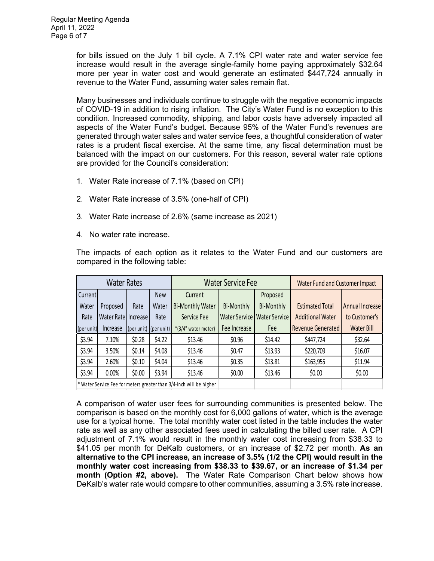for bills issued on the July 1 bill cycle. A 7.1% CPI water rate and water service fee increase would result in the average single-family home paying approximately \$32.64 more per year in water cost and would generate an estimated \$447,724 annually in revenue to the Water Fund, assuming water sales remain flat.

Many businesses and individuals continue to struggle with the negative economic impacts of COVID-19 in addition to rising inflation. The City's Water Fund is no exception to this condition. Increased commodity, shipping, and labor costs have adversely impacted all aspects of the Water Fund's budget. Because 95% of the Water Fund's revenues are generated through water sales and water service fees, a thoughtful consideration of water rates is a prudent fiscal exercise. At the same time, any fiscal determination must be balanced with the impact on our customers. For this reason, several water rate options are provided for the Council's consideration:

- 1. Water Rate increase of 7.1% (based on CPI)
- 2. Water Rate increase of 3.5% (one-half of CPI)
- 3. Water Rate increase of 2.6% (same increase as 2021)
- 4. No water rate increase.

The impacts of each option as it relates to the Water Fund and our customers are compared in the following table:

| <b>Water Rates</b> |                       |                       |        | <b>Water Service Fee</b>                                            |               |                      | Water Fund and Customer Impact |                   |
|--------------------|-----------------------|-----------------------|--------|---------------------------------------------------------------------|---------------|----------------------|--------------------------------|-------------------|
| Current            |                       |                       | New    | Current                                                             |               | Proposed             |                                |                   |
| Water              | Proposed              | Rate                  | Water  | <b>Bi-Monthly Water</b>                                             | Bi-Monthly    | Bi-Monthly           | <b>Estimated Total</b>         | Annual Increase   |
| Rate               | Water Rate   Increase |                       | Rate   | Service Fee                                                         | Water Service | <b>Water Service</b> | <b>Additional Water</b>        | to Customer's     |
| (per unit)         | Increase              | (per unit) (per unit) |        | *(3/4" water meter)                                                 | Fee Increase  | Fee                  | <b>Revenue Generated</b>       | <b>Water Bill</b> |
| \$3.94             | 7.10%                 | \$0.28                | \$4.22 | \$13.46                                                             | \$0.96        | \$14.42              | \$447,724                      | \$32.64           |
| \$3.94             | 3.50%                 | \$0.14                | \$4.08 | \$13.46                                                             | \$0.47        | \$13.93              | \$220,709                      | \$16.07           |
| \$3.94             | 2.60%                 | \$0.10                | \$4.04 | \$13.46                                                             | \$0.35        | \$13.81              | \$163,955                      | \$11.94           |
| \$3.94             | 0.00%                 | \$0.00                | \$3.94 | \$13.46                                                             | \$0.00        | \$13.46              | \$0.00                         | \$0.00            |
|                    |                       |                       |        | * Water Service Fee for meters greater than 3/4-inch will be higher |               |                      |                                |                   |

A comparison of water user fees for surrounding communities is presented below. The comparison is based on the monthly cost for 6,000 gallons of water, which is the average use for a typical home. The total monthly water cost listed in the table includes the water rate as well as any other associated fees used in calculating the billed user rate. A CPI adjustment of 7.1% would result in the monthly water cost increasing from \$38.33 to \$41.05 per month for DeKalb customers, or an increase of \$2.72 per month. **As an alternative to the CPI increase, an increase of 3.5% (1/2 the CPI) would result in the monthly water cost increasing from \$38.33 to \$39.67, or an increase of \$1.34 per month (Option #2, above).** The Water Rate Comparison Chart below shows how DeKalb's water rate would compare to other communities, assuming a 3.5% rate increase.